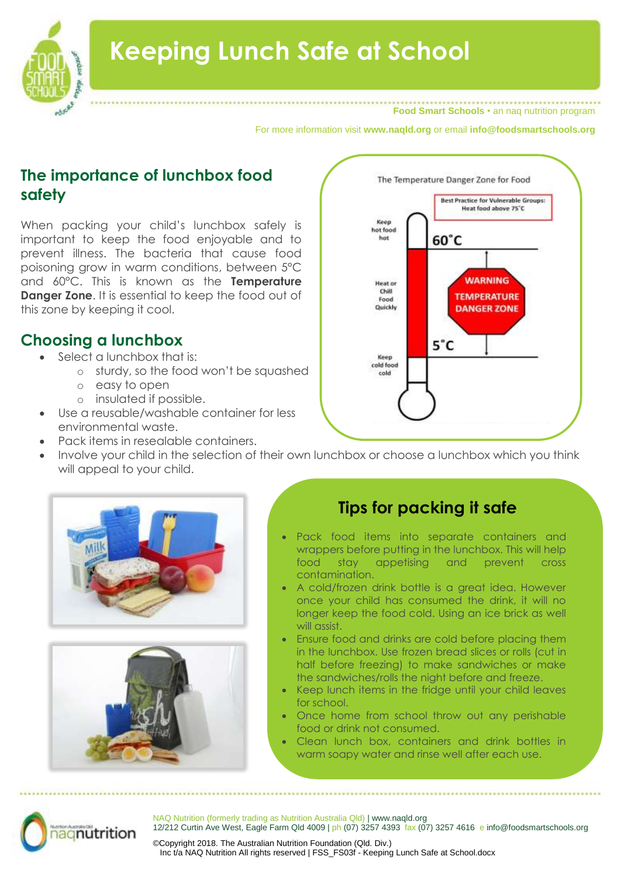

**Food Smart Schools** • an naq nutrition program

For more information visit **www.naqld.org** or email **info@foodsmartschools.org**

# **The importance of lunchbox food safety**

When packing your child's lunchbox safely is important to keep the food enjoyable and to prevent illness. The bacteria that cause food poisoning grow in warm conditions, between 5°C and 60°C. This is known as the **Temperature Danger Zone.** It is essential to keep the food out of this zone by keeping it cool.

# **Choosing a lunchbox**

- Select a lunchbox that is:
	- o sturdy, so the food won't be squashed
	- o easy to open
	- o insulated if possible.
- Use a reusable/washable container for less environmental waste.
- Pack items in resealable containers.
- Involve your child in the selection of their own lunchbox or choose a lunchbox which you think will appeal to your child.







# **Tips for packing it safe**

- Pack food items into separate containers and wrappers before putting in the lunchbox. This will help food stay appetising and prevent cross contamination.
- A cold/frozen drink bottle is a great idea. However once your child has consumed the drink, it will no longer keep the food cold. Using an ice brick as well will assist.
- Ensure food and drinks are cold before placing them in the lunchbox. Use frozen bread slices or rolls (cut in half before freezing) to make sandwiches or make the sandwiches/rolls the night before and freeze.
- Keep lunch items in the fridge until your child leaves for school.
- Once home from school throw out any perishable food or drink not consumed.
- Clean lunch box, containers and drink bottles in warm soapy water and rinse well after each use.



NAQ Nutrition (formerly trading as Nutrition Australia Qld) | www.naqld.org 12/212 Curtin Ave West, Eagle Farm Qld 4009 | ph (07) 3257 4393 fax (07) 3257 4616 e info@foodsmartschools.org